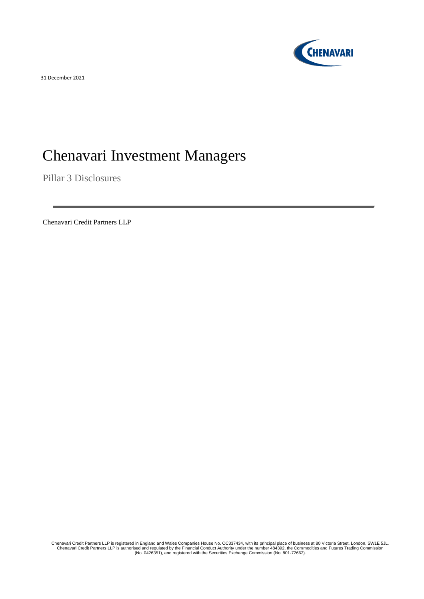**CHENAVARI** 

31 December 2021

# Chenavari Investment Managers

Pillar 3 Disclosures

Chenavari Credit Partners LLP

Chenavari Credit Partners LLP is registered in England and Wales Companies House No. OC337434, with its principal place of business at 80 Victoria Street, London, SW1E 5JL.<br>Chenavari Credit Partners LLP is authorised and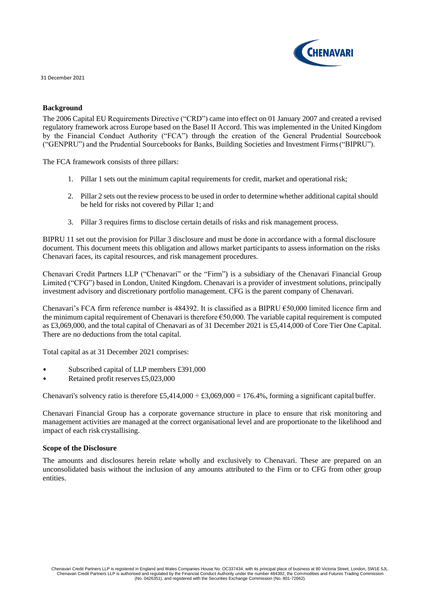

## **Background**

The 2006 Capital EU Requirements Directive ("CRD") came into effect on 01 January 2007 and created a revised regulatory framework across Europe based on the Basel II Accord. This was implemented in the United Kingdom by the Financial Conduct Authority ("FCA") through the creation of the General Prudential Sourcebook ("GENPRU") and the Prudential Sourcebooks for Banks, Building Societies and Investment Firms("BIPRU").

The FCA framework consists of three pillars:

- 1. Pillar 1 sets out the minimum capital requirements for credit, market and operational risk;
- 2. Pillar 2 sets out the review process to be used in order to determine whether additional capital should be held for risks not covered by Pillar 1; and
- 3. Pillar 3 requires firms to disclose certain details of risks and risk management process.

BIPRU 11 set out the provision for Pillar 3 disclosure and must be done in accordance with a formal disclosure document. This document meets this obligation and allows market participants to assess information on the risks Chenavari faces, its capital resources, and risk management procedures.

Chenavari Credit Partners LLP ("Chenavari" or the "Firm") is a subsidiary of the Chenavari Financial Group Limited ("CFG") based in London, United Kingdom. Chenavari is a provider of investment solutions, principally investment advisory and discretionary portfolio management. CFG is the parent company of Chenavari.

Chenavari's FCA firm reference number is 484392. It is classified as a BIPRU €50,000 limited licence firm and the minimum capital requirement of Chenavari is therefore €50,000. The variable capital requirement is computed as £3,069,000, and the total capital of Chenavari as of 31 December 2021 is £5,414,000 of Core Tier One Capital. There are no deductions from the total capital.

Total capital as at 31 December 2021 comprises:

- Subscribed capital of LLP members £391,000
- Retained profit reserves £5,023,000

Chenavari's solvency ratio is therefore £5,414,000  $\div$  £3,069,000 = 176.4%, forming a significant capital buffer.

Chenavari Financial Group has a corporate governance structure in place to ensure that risk monitoring and management activities are managed at the correct organisational level and are proportionate to the likelihood and impact of each risk crystallising.

## **Scope of the Disclosure**

The amounts and disclosures herein relate wholly and exclusively to Chenavari. These are prepared on an unconsolidated basis without the inclusion of any amounts attributed to the Firm or to CFG from other group entities.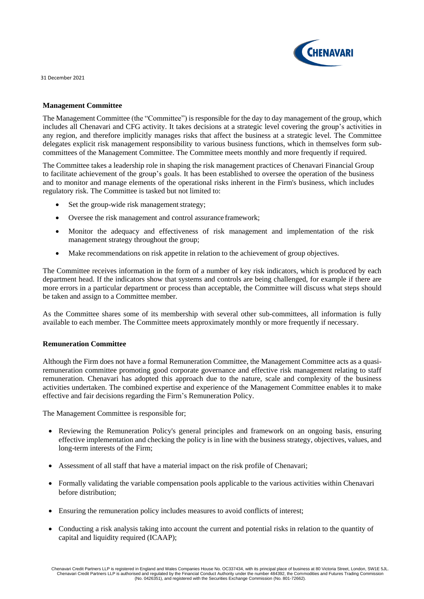

## **Management Committee**

The Management Committee (the "Committee") is responsible for the day to day management of the group, which includes all Chenavari and CFG activity. It takes decisions at a strategic level covering the group's activities in any region, and therefore implicitly manages risks that affect the business at a strategic level. The Committee delegates explicit risk management responsibility to various business functions, which in themselves form subcommittees of the Management Committee. The Committee meets monthly and more frequently if required.

The Committee takes a leadership role in shaping the risk management practices of Chenavari Financial Group to facilitate achievement of the group's goals. It has been established to oversee the operation of the business and to monitor and manage elements of the operational risks inherent in the Firm's business, which includes regulatory risk. The Committee is tasked but not limited to:

- Set the group-wide risk management strategy;
- Oversee the risk management and control assurance framework;
- Monitor the adequacy and effectiveness of risk management and implementation of the risk management strategy throughout the group;
- Make recommendations on risk appetite in relation to the achievement of group objectives.

The Committee receives information in the form of a number of key risk indicators, which is produced by each department head. If the indicators show that systems and controls are being challenged, for example if there are more errors in a particular department or process than acceptable, the Committee will discuss what steps should be taken and assign to a Committee member.

As the Committee shares some of its membership with several other sub-committees, all information is fully available to each member. The Committee meets approximately monthly or more frequently if necessary.

## **Remuneration Committee**

Although the Firm does not have a formal Remuneration Committee, the Management Committee acts as a quasiremuneration committee promoting good corporate governance and effective risk management relating to staff remuneration. Chenavari has adopted this approach due to the nature, scale and complexity of the business activities undertaken. The combined expertise and experience of the Management Committee enables it to make effective and fair decisions regarding the Firm's Remuneration Policy.

The Management Committee is responsible for;

- Reviewing the Remuneration Policy's general principles and framework on an ongoing basis, ensuring effective implementation and checking the policy is in line with the business strategy, objectives, values, and long-term interests of the Firm;
- Assessment of all staff that have a material impact on the risk profile of Chenavari;
- Formally validating the variable compensation pools applicable to the various activities within Chenavari before distribution;
- Ensuring the remuneration policy includes measures to avoid conflicts of interest;
- Conducting a risk analysis taking into account the current and potential risks in relation to the quantity of capital and liquidity required (ICAAP);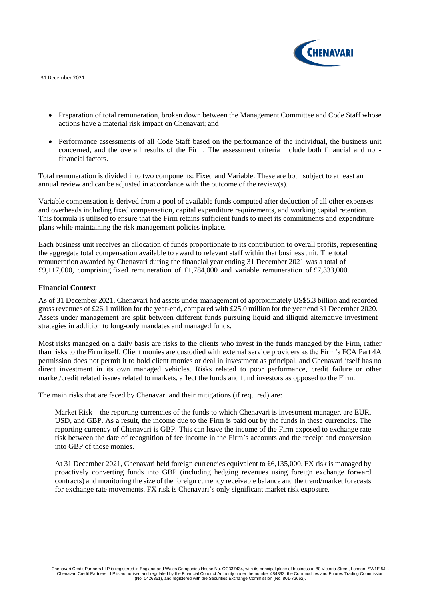

- Preparation of total remuneration, broken down between the Management Committee and Code Staff whose actions have a material risk impact on Chenavari; and
- Performance assessments of all Code Staff based on the performance of the individual, the business unit concerned, and the overall results of the Firm. The assessment criteria include both financial and nonfinancial factors.

Total remuneration is divided into two components: Fixed and Variable. These are both subject to at least an annual review and can be adjusted in accordance with the outcome of the review(s).

Variable compensation is derived from a pool of available funds computed after deduction of all other expenses and overheads including fixed compensation, capital expenditure requirements, and working capital retention. This formula is utilised to ensure that the Firm retains sufficient funds to meet its commitments and expenditure plans while maintaining the risk management policies inplace.

Each business unit receives an allocation of funds proportionate to its contribution to overall profits, representing the aggregate total compensation available to award to relevant staff within that business unit. The total remuneration awarded by Chenavari during the financial year ending 31 December 2021 was a total of £9,117,000, comprising fixed remuneration of £1,784,000 and variable remuneration of £7,333,000.

## **Financial Context**

As of 31 December 2021, Chenavari had assets under management of approximately US\$5.3 billion and recorded gross revenues of £26.1 million for the year-end, compared with £25.0 million for the year end 31 December 2020. Assets under management are split between different funds pursuing liquid and illiquid alternative investment strategies in addition to long-only mandates and managed funds.

Most risks managed on a daily basis are risks to the clients who invest in the funds managed by the Firm, rather than risks to the Firm itself. Client monies are custodied with external service providers as the Firm's FCA Part 4A permission does not permit it to hold client monies or deal in investment as principal, and Chenavari itself has no direct investment in its own managed vehicles. Risks related to poor performance, credit failure or other market/credit related issues related to markets, affect the funds and fund investors as opposed to the Firm.

The main risks that are faced by Chenavari and their mitigations (if required) are:

Market Risk – the reporting currencies of the funds to which Chenavari is investment manager, are EUR, USD, and GBP. As a result, the income due to the Firm is paid out by the funds in these currencies. The reporting currency of Chenavari is GBP. This can leave the income of the Firm exposed to exchange rate risk between the date of recognition of fee income in the Firm's accounts and the receipt and conversion into GBP of those monies.

At 31 December 2021, Chenavari held foreign currencies equivalent to £6,135,000. FX risk is managed by proactively converting funds into GBP (including hedging revenues using foreign exchange forward contracts) and monitoring the size of the foreign currency receivable balance and the trend/market forecasts for exchange rate movements. FX risk is Chenavari's only significant market risk exposure.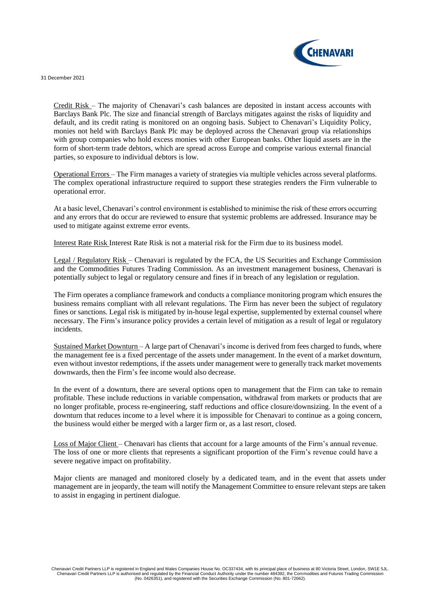

Credit Risk – The majority of Chenavari's cash balances are deposited in instant access accounts with Barclays Bank Plc. The size and financial strength of Barclays mitigates against the risks of liquidity and default, and its credit rating is monitored on an ongoing basis. Subject to Chenavari's Liquidity Policy, monies not held with Barclays Bank Plc may be deployed across the Chenavari group via relationships with group companies who hold excess monies with other European banks. Other liquid assets are in the form of short-term trade debtors, which are spread across Europe and comprise various external financial parties, so exposure to individual debtors is low.

Operational Errors – The Firm manages a variety of strategies via multiple vehicles across several platforms. The complex operational infrastructure required to support these strategies renders the Firm vulnerable to operational error.

At a basic level, Chenavari's control environment is established to minimise the risk of these errors occurring and any errors that do occur are reviewed to ensure that systemic problems are addressed. Insurance may be used to mitigate against extreme error events.

Interest Rate Risk Interest Rate Risk is not a material risk for the Firm due to its business model.

Legal / Regulatory Risk – Chenavari is regulated by the FCA, the US Securities and Exchange Commission and the Commodities Futures Trading Commission. As an investment management business, Chenavari is potentially subject to legal or regulatory censure and fines if in breach of any legislation or regulation.

The Firm operates a compliance framework and conducts a compliance monitoring program which ensures the business remains compliant with all relevant regulations. The Firm has never been the subject of regulatory fines or sanctions. Legal risk is mitigated by in-house legal expertise, supplemented by external counsel where necessary. The Firm's insurance policy provides a certain level of mitigation as a result of legal or regulatory incidents.

Sustained Market Downturn – A large part of Chenavari's income is derived from fees charged to funds, where the management fee is a fixed percentage of the assets under management. In the event of a market downturn, even without investor redemptions, if the assets under management were to generally track market movements downwards, then the Firm's fee income would also decrease.

In the event of a downturn, there are several options open to management that the Firm can take to remain profitable. These include reductions in variable compensation, withdrawal from markets or products that are no longer profitable, process re-engineering, staff reductions and office closure/downsizing. In the event of a downturn that reduces income to a level where it is impossible for Chenavari to continue as a going concern, the business would either be merged with a larger firm or, as a last resort, closed.

Loss of Major Client – Chenavari has clients that account for a large amounts of the Firm's annual revenue. The loss of one or more clients that represents a significant proportion of the Firm's revenue could have a severe negative impact on profitability.

Major clients are managed and monitored closely by a dedicated team, and in the event that assets under management are in jeopardy, the team will notify the Management Committee to ensure relevant steps are taken to assist in engaging in pertinent dialogue.